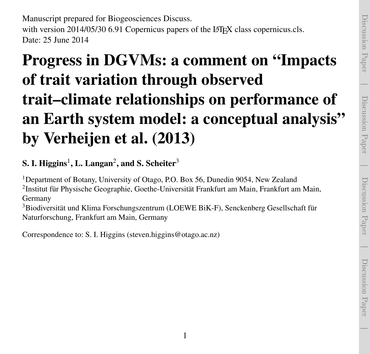$\overline{\phantom{0}}$ 

|

 $\overline{\phantom{0}}$ 

Manuscript prepared for Biogeosciences Discuss. with version 2014/05/30 6.91 Copernicus papers of the LATEX class copernicus.cls. Date: 25 June 2014

## Progress in DGVMs: a comment on "Impacts of trait variation through observed trait–climate relationships on performance of an Earth system model: a conceptual analysis" by Verheijen et al. (2013)

S. I. Higgins $^1$ , L. Langan $^2$ , and S. Scheiter $^3$ 

<sup>1</sup>Department of Botany, University of Otago, P.O. Box 56, Dunedin 9054, New Zealand <sup>2</sup>Institut für Physische Geographie, Goethe-Universität Frankfurt am Main, Frankfurt am Main, Germany <sup>3</sup>Biodiversität und Klima Forschungszentrum (LOEWE BiK-F), Senckenberg Gesellschaft für Naturforschung, Frankfurt am Main, Germany

Correspondence to: S. I. Higgins (steven.higgins@otago.ac.nz)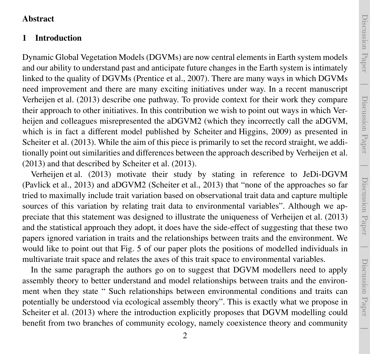# Discussion PaperDiscussion Paper

 $\overline{\phantom{a}}$ 

|

 $\overline{\phantom{0}}$ 

#### Abstract

### 1 Introduction

Dynamic Global Vegetation Models (DGVMs) are now central elements in Earth system models and our ability to understand past and anticipate future changes in the Earth system is intimately linked to the quality of DGVMs (Prentice et al., 2007). There are many ways in which DGVMs need improvement and there are many exciting initiatives under way. In a recent manuscript Verheijen et al. (2013) describe one pathway. To provide context for their work they compare their approach to other initiatives. In this contribution we wish to point out ways in which Verheijen and colleagues misrepresented the aDGVM2 (which they incorrectly call the aDGVM, which is in fact a different model published by Scheiter and Higgins, 2009) as presented in Scheiter et al. (2013). While the aim of this piece is primarily to set the record straight, we additionally point out similarities and differences between the approach described by Verheijen et al. (2013) and that described by Scheiter et al. (2013).

Verheijen et al. (2013) motivate their study by stating in reference to JeDi-DGVM (Pavlick et al., 2013) and aDGVM2 (Scheiter et al., 2013) that "none of the approaches so far tried to maximally include trait variation based on observational trait data and capture multiple sources of this variation by relating trait data to environmental variables". Although we appreciate that this statement was designed to illustrate the uniqueness of Verheijen et al. (2013) and the statistical approach they adopt, it does have the side-effect of suggesting that these two papers ignored variation in traits and the relationships between traits and the environment. We would like to point out that Fig. 5 of our paper plots the positions of modelled individuals in multivariate trait space and relates the axes of this trait space to environmental variables.

In the same paragraph the authors go on to suggest that DGVM modellers need to apply assembly theory to better understand and model relationships between traits and the environment when they state " Such relationships between environmental conditions and traits can potentially be understood via ecological assembly theory". This is exactly what we propose in Scheiter et al. (2013) where the introduction explicitly proposes that DGVM modelling could benefit from two branches of community ecology, namely coexistence theory and community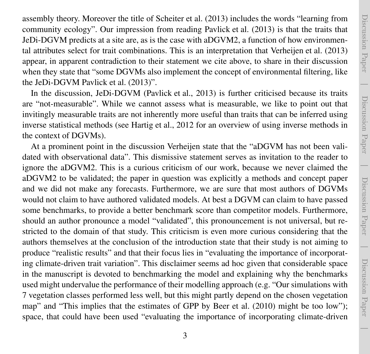|

 $\overline{\phantom{a}}$ 

 $\overline{\phantom{0}}$ 

assembly theory. Moreover the title of Scheiter et al. (2013) includes the words "learning from community ecology". Our impression from reading Pavlick et al. (2013) is that the traits that JeDi-DGVM predicts at a site are, as is the case with aDGVM2, a function of how environmental attributes select for trait combinations. This is an interpretation that Verheijen et al. (2013) appear, in apparent contradiction to their statement we cite above, to share in their discussion when they state that "some DGVMs also implement the concept of environmental filtering, like the JeDi-DGVM Pavlick et al. (2013)".

In the discussion, JeDi-DGVM (Pavlick et al., 2013) is further criticised because its traits are "not-measurable". While we cannot assess what is measurable, we like to point out that invitingly measurable traits are not inherently more useful than traits that can be inferred using inverse statistical methods (see Hartig et al., 2012 for an overview of using inverse methods in the context of DGVMs).

At a prominent point in the discussion Verheijen state that the "aDGVM has not been validated with observational data". This dismissive statement serves as invitation to the reader to ignore the aDGVM2. This is a curious criticism of our work, because we never claimed the aDGVM2 to be validated; the paper in question was explicitly a methods and concept paper and we did not make any forecasts. Furthermore, we are sure that most authors of DGVMs would not claim to have authored validated models. At best a DGVM can claim to have passed some benchmarks, to provide a better benchmark score than competitor models. Furthermore, should an author pronounce a model "validated", this pronouncement is not universal, but restricted to the domain of that study. This criticism is even more curious considering that the authors themselves at the conclusion of the introduction state that their study is not aiming to produce "realistic results" and that their focus lies in "evaluating the importance of incorporating climate-driven trait variation". This disclaimer seems ad hoc given that considerable space in the manuscript is devoted to benchmarking the model and explaining why the benchmarks used might undervalue the performance of their modelling approach (e.g. "Our simulations with 7 vegetation classes performed less well, but this might partly depend on the chosen vegetation map" and "This implies that the estimates of GPP by Beer et al. (2010) might be too low"); space, that could have been used "evaluating the importance of incorporating climate-driven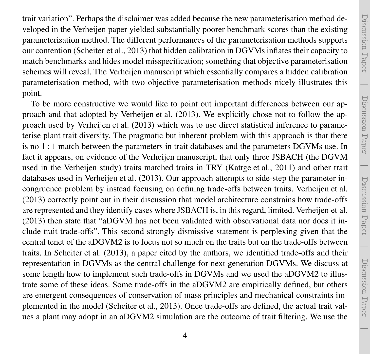$\overline{\phantom{0}}$ 

|

 $\overline{\phantom{0}}$ 

trait variation". Perhaps the disclaimer was added because the new parameterisation method developed in the Verheijen paper yielded substantially poorer benchmark scores than the existing parameterisation method. The different performances of the parameterisation methods supports our contention (Scheiter et al., 2013) that hidden calibration in DGVMs inflates their capacity to match benchmarks and hides model misspecification; something that objective parameterisation schemes will reveal. The Verheijen manuscript which essentially compares a hidden calibration parameterisation method, with two objective parameterisation methods nicely illustrates this point.

To be more constructive we would like to point out important differences between our approach and that adopted by Verheijen et al. (2013). We explicitly chose not to follow the approach used by Verheijen et al. (2013) which was to use direct statistical inference to parameterise plant trait diversity. The pragmatic but inherent problem with this approach is that there is no 1 : 1 match between the parameters in trait databases and the parameters DGVMs use. In fact it appears, on evidence of the Verheijen manuscript, that only three JSBACH (the DGVM used in the Verheijen study) traits matched traits in TRY (Kattge et al., 2011) and other trait databases used in Verheijen et al. (2013). Our approach attempts to side-step the parameter incongruence problem by instead focusing on defining trade-offs between traits. Verheijen et al. (2013) correctly point out in their discussion that model architecture constrains how trade-offs are represented and they identify cases where JSBACH is, in this regard, limited. Verheijen et al. (2013) then state that "aDGVM has not been validated with observational data nor does it include trait trade-offs". This second strongly dismissive statement is perplexing given that the central tenet of the aDGVM2 is to focus not so much on the traits but on the trade-offs between traits. In Scheiter et al. (2013), a paper cited by the authors, we identified trade-offs and their representation in DGVMs as the central challenge for next generation DGVMs. We discuss at some length how to implement such trade-offs in DGVMs and we used the aDGVM2 to illustrate some of these ideas. Some trade-offs in the aDGVM2 are empirically defined, but others are emergent consequences of conservation of mass principles and mechanical constraints implemented in the model (Scheiter et al., 2013). Once trade-offs are defined, the actual trait values a plant may adopt in an aDGVM2 simulation are the outcome of trait filtering. We use the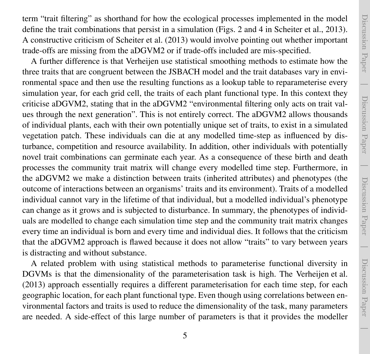$\overline{\phantom{a}}$ 

|

 $\overline{\phantom{0}}$ 

term "trait filtering" as shorthand for how the ecological processes implemented in the model define the trait combinations that persist in a simulation (Figs. 2 and 4 in Scheiter et al., 2013). A constructive criticism of Scheiter et al. (2013) would involve pointing out whether important trade-offs are missing from the aDGVM2 or if trade-offs included are mis-specified.

A further difference is that Verheijen use statistical smoothing methods to estimate how the three traits that are congruent between the JSBACH model and the trait databases vary in environmental space and then use the resulting functions as a lookup table to reparameterise every simulation year, for each grid cell, the traits of each plant functional type. In this context they criticise aDGVM2, stating that in the aDGVM2 "environmental filtering only acts on trait values through the next generation". This is not entirely correct. The aDGVM2 allows thousands of individual plants, each with their own potentially unique set of traits, to exist in a simulated vegetation patch. These individuals can die at any modelled time-step as influenced by disturbance, competition and resource availability. In addition, other individuals with potentially novel trait combinations can germinate each year. As a consequence of these birth and death processes the community trait matrix will change every modelled time step. Furthermore, in the aDGVM2 we make a distinction between traits (inherited attributes) and phenotypes (the outcome of interactions between an organisms' traits and its environment). Traits of a modelled individual cannot vary in the lifetime of that individual, but a modelled individual's phenotype can change as it grows and is subjected to disturbance. In summary, the phenotypes of individuals are modelled to change each simulation time step and the community trait matrix changes every time an individual is born and every time and individual dies. It follows that the criticism that the aDGVM2 approach is flawed because it does not allow "traits" to vary between years is distracting and without substance.

A related problem with using statistical methods to parameterise functional diversity in DGVMs is that the dimensionality of the parameterisation task is high. The Verheijen et al. (2013) approach essentially requires a different parameterisation for each time step, for each geographic location, for each plant functional type. Even though using correlations between environmental factors and traits is used to reduce the dimensionality of the task, many parameters are needed. A side-effect of this large number of parameters is that it provides the modeller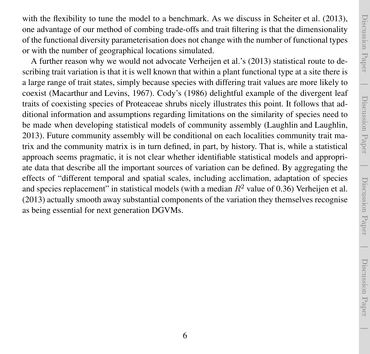|

 $\overline{\phantom{0}}$ 

with the flexibility to tune the model to a benchmark. As we discuss in Scheiter et al. (2013), one advantage of our method of combing trade-offs and trait filtering is that the dimensionality of the functional diversity parameterisation does not change with the number of functional types or with the number of geographical locations simulated.

A further reason why we would not advocate Verheijen et al.'s (2013) statistical route to describing trait variation is that it is well known that within a plant functional type at a site there is a large range of trait states, simply because species with differing trait values are more likely to coexist (Macarthur and Levins, 1967). Cody's (1986) delightful example of the divergent leaf traits of coexisting species of Proteaceae shrubs nicely illustrates this point. It follows that additional information and assumptions regarding limitations on the similarity of species need to be made when developing statistical models of community assembly (Laughlin and Laughlin, 2013). Future community assembly will be conditional on each localities community trait matrix and the community matrix is in turn defined, in part, by history. That is, while a statistical approach seems pragmatic, it is not clear whether identifiable statistical models and appropriate data that describe all the important sources of variation can be defined. By aggregating the effects of "different temporal and spatial scales, including acclimation, adaptation of species and species replacement" in statistical models (with a median  $R^2$  value of 0.36) Verheijen et al. (2013) actually smooth away substantial components of the variation they themselves recognise as being essential for next generation DGVMs.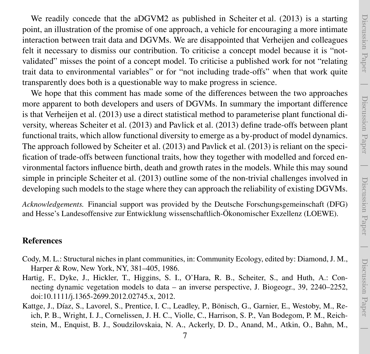|

 $\overline{\phantom{a}}$ 

 $\overline{\phantom{0}}$ 

We readily concede that the aDGVM2 as published in Scheiter et al. (2013) is a starting point, an illustration of the promise of one approach, a vehicle for encouraging a more intimate interaction between trait data and DGVMs. We are disappointed that Verheijen and colleagues felt it necessary to dismiss our contribution. To criticise a concept model because it is "notvalidated" misses the point of a concept model. To criticise a published work for not "relating trait data to environmental variables" or for "not including trade-offs" when that work quite transparently does both is a questionable way to make progress in science.

We hope that this comment has made some of the differences between the two approaches more apparent to both developers and users of DGVMs. In summary the important difference is that Verheijen et al. (2013) use a direct statistical method to parameterise plant functional diversity, whereas Scheiter et al. (2013) and Pavlick et al. (2013) define trade-offs between plant functional traits, which allow functional diversity to emerge as a by-product of model dynamics. The approach followed by Scheiter et al. (2013) and Pavlick et al. (2013) is reliant on the specification of trade-offs between functional traits, how they together with modelled and forced environmental factors influence birth, death and growth rates in the models. While this may sound simple in principle Scheiter et al. (2013) outline some of the non-trivial challenges involved in developing such models to the stage where they can approach the reliability of existing DGVMs.

*Acknowledgements.* Financial support was provided by the Deutsche Forschungsgemeinschaft (DFG) and Hesse's Landesoffensive zur Entwicklung wissenschaftlich-Ökonomischer Exzellenz (LOEWE).

#### References

- Cody, M. L.: Structural niches in plant communities, in: Community Ecology, edited by: Diamond, J. M., Harper & Row, New York, NY, 381–405, 1986.
- Hartig, F., Dyke, J., Hickler, T., Higgins, S. I., O'Hara, R. B., Scheiter, S., and Huth, A.: Connecting dynamic vegetation models to data – an inverse perspective, J. Biogeogr., 39, 2240–2252, doi:10.1111/j.1365-2699.2012.02745.x, 2012.
- Kattge, J., Díaz, S., Lavorel, S., Prentice, I. C., Leadley, P., Bönisch, G., Garnier, E., Westoby, M., Reich, P. B., Wright, I. J., Cornelissen, J. H. C., Violle, C., Harrison, S. P., Van Bodegom, P. M., Reichstein, M., Enquist, B. J., Soudzilovskaia, N. A., Ackerly, D. D., Anand, M., Atkin, O., Bahn, M.,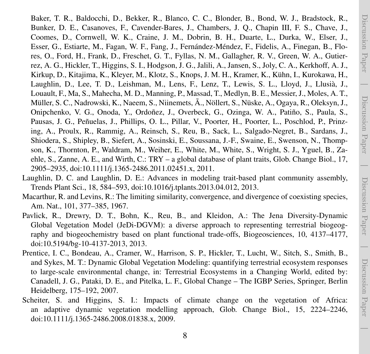$\overline{\phantom{a}}$ 

|

 $\overline{\phantom{0}}$ 

Baker, T. R., Baldocchi, D., Bekker, R., Blanco, C. C., Blonder, B., Bond, W. J., Bradstock, R., Bunker, D. E., Casanoves, F., Cavender-Bares, J., Chambers, J. Q., Chapin III, F. S., Chave, J., Coomes, D., Cornwell, W. K., Craine, J. M., Dobrin, B. H., Duarte, L., Durka, W., Elser, J., Esser, G., Estiarte, M., Fagan, W. F., Fang, J., Fernández-Méndez, F., Fidelis, A., Finegan, B., Flores, O., Ford, H., Frank, D., Freschet, G. T., Fyllas, N. M., Gallagher, R. V., Green, W. A., Gutierrez, A. G., Hickler, T., Higgins, S. I., Hodgson, J. G., Jalili, A., Jansen, S., Joly, C. A., Kerkhoff, A. J., Kirkup, D., Kitajima, K., Kleyer, M., Klotz, S., Knops, J. M. H., Kramer, K., Kühn, I., Kurokawa, H., Laughlin, D., Lee, T. D., Leishman, M., Lens, F., Lenz, T., Lewis, S. L., Lloyd, J., Llusià, J., Louault, F., Ma, S., Mahecha, M. D., Manning, P., Massad, T., Medlyn, B. E., Messier, J., Moles, A. T., Müller, S. C., Nadrowski, K., Naeem, S., Niinemets, Ã., Nöllert, S., Nüske, A., Ogaya, R., Oleksyn, J., Onipchenko, V. G., Onoda, Y., Ordoñez, J., Overbeck, G., Ozinga, W. A., Patiño, S., Paula, S., Pausas, J. G., Peñuelas, J., Phillips, O. L., Pillar, V., Poorter, H., Poorter, L., Poschlod, P., Prinzing, A., Proulx, R., Rammig, A., Reinsch, S., Reu, B., Sack, L., Salgado-Negret, B., Sardans, J., Shiodera, S., Shipley, B., Siefert, A., Sosinski, E., Soussana, J.-F., Swaine, E., Swenson, N., Thompson, K., Thornton, P., Waldram, M., Weiher, E., White, M., White, S., Wright, S. J., Yguel, B., Zaehle, S., Zanne, A. E., and Wirth, C.: TRY – a global database of plant traits, Glob. Change Biol., 17, 2905–2935, doi:10.1111/j.1365-2486.2011.02451.x, 2011.

- Laughlin, D. C. and Laughlin, D. E.: Advances in modeling trait-based plant community assembly, Trends Plant Sci., 18, 584–593, doi:10.1016/j.tplants.2013.04.012, 2013.
- Macarthur, R. and Levins, R.: The limiting similarity, convergence, and divergence of coexisting species, Am. Nat., 101, 377–385, 1967.
- Pavlick, R., Drewry, D. T., Bohn, K., Reu, B., and Kleidon, A.: The Jena Diversity-Dynamic Global Vegetation Model (JeDi-DGVM): a diverse approach to representing terrestrial biogeography and biogeochemistry based on plant functional trade-offs, Biogeosciences, 10, 4137–4177, doi:10.5194/bg-10-4137-2013, 2013.
- Prentice, I. C., Bondeau, A., Cramer, W., Harrison, S. P., Hickler, T., Lucht, W., Sitch, S., Smith, B., and Sykes, M. T.: Dynamic Global Vegetation Modeling: quantifying terrestrial ecosystem responses to large-scale environmental change, in: Terrestrial Ecosystems in a Changing World, edited by: Canadell, J. G., Pataki, D. E., and Pitelka, L. F., Global Change – The IGBP Series, Springer, Berlin Heidelberg, 175–192, 2007.
- Scheiter, S. and Higgins, S. I.: Impacts of climate change on the vegetation of Africa: an adaptive dynamic vegetation modelling approach, Glob. Change Biol., 15, 2224–2246, doi:10.1111/j.1365-2486.2008.01838.x, 2009.